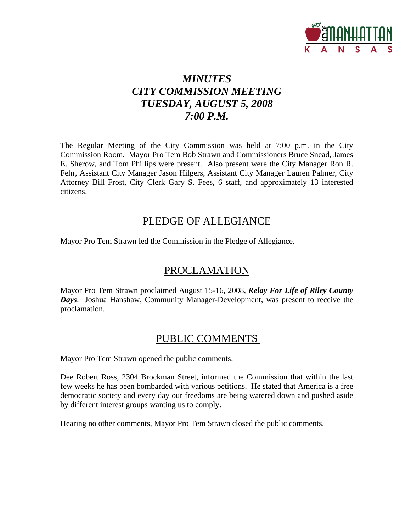

# *MINUTES CITY COMMISSION MEETING TUESDAY, AUGUST 5, 2008 7:00 P.M.*

The Regular Meeting of the City Commission was held at 7:00 p.m. in the City Commission Room. Mayor Pro Tem Bob Strawn and Commissioners Bruce Snead, James E. Sherow, and Tom Phillips were present. Also present were the City Manager Ron R. Fehr, Assistant City Manager Jason Hilgers, Assistant City Manager Lauren Palmer, City Attorney Bill Frost, City Clerk Gary S. Fees, 6 staff, and approximately 13 interested citizens.

### PLEDGE OF ALLEGIANCE

Mayor Pro Tem Strawn led the Commission in the Pledge of Allegiance.

# PROCLAMATION

Mayor Pro Tem Strawn proclaimed August 15-16, 2008, *Relay For Life of Riley County Days*. Joshua Hanshaw, Community Manager-Development, was present to receive the proclamation.

# PUBLIC COMMENTS

Mayor Pro Tem Strawn opened the public comments.

Dee Robert Ross, 2304 Brockman Street, informed the Commission that within the last few weeks he has been bombarded with various petitions. He stated that America is a free democratic society and every day our freedoms are being watered down and pushed aside by different interest groups wanting us to comply.

Hearing no other comments, Mayor Pro Tem Strawn closed the public comments.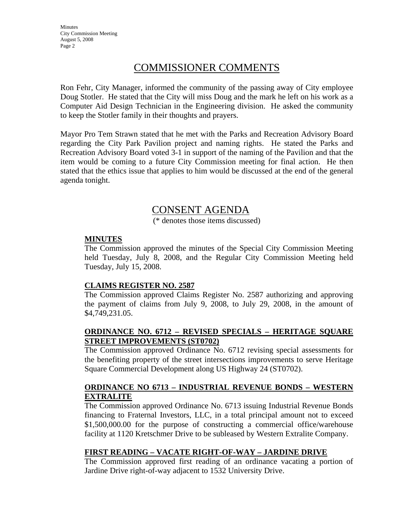Minutes City Commission Meeting August 5, 2008 Page 2

### COMMISSIONER COMMENTS

Ron Fehr, City Manager, informed the community of the passing away of City employee Doug Stotler. He stated that the City will miss Doug and the mark he left on his work as a Computer Aid Design Technician in the Engineering division. He asked the community to keep the Stotler family in their thoughts and prayers.

Mayor Pro Tem Strawn stated that he met with the Parks and Recreation Advisory Board regarding the City Park Pavilion project and naming rights. He stated the Parks and Recreation Advisory Board voted 3-1 in support of the naming of the Pavilion and that the item would be coming to a future City Commission meeting for final action. He then stated that the ethics issue that applies to him would be discussed at the end of the general agenda tonight.

### CONSENT AGENDA

(\* denotes those items discussed)

#### **MINUTES**

The Commission approved the minutes of the Special City Commission Meeting held Tuesday, July 8, 2008, and the Regular City Commission Meeting held Tuesday, July 15, 2008.

#### **CLAIMS REGISTER NO. 2587**

The Commission approved Claims Register No. 2587 authorizing and approving the payment of claims from July 9, 2008, to July 29, 2008, in the amount of \$4,749,231.05.

### **ORDINANCE NO. 6712 – REVISED SPECIALS – HERITAGE SQUARE STREET IMPROVEMENTS (ST0702)**

The Commission approved Ordinance No. 6712 revising special assessments for the benefiting property of the street intersections improvements to serve Heritage Square Commercial Development along US Highway 24 (ST0702).

### **ORDINANCE NO 6713 – INDUSTRIAL REVENUE BONDS – WESTERN EXTRALITE**

The Commission approved Ordinance No. 6713 issuing Industrial Revenue Bonds financing to Fraternal Investors, LLC, in a total principal amount not to exceed \$1,500,000.00 for the purpose of constructing a commercial office/warehouse facility at 1120 Kretschmer Drive to be subleased by Western Extralite Company.

### **FIRST READING – VACATE RIGHT-OF-WAY – JARDINE DRIVE**

The Commission approved first reading of an ordinance vacating a portion of Jardine Drive right-of-way adjacent to 1532 University Drive.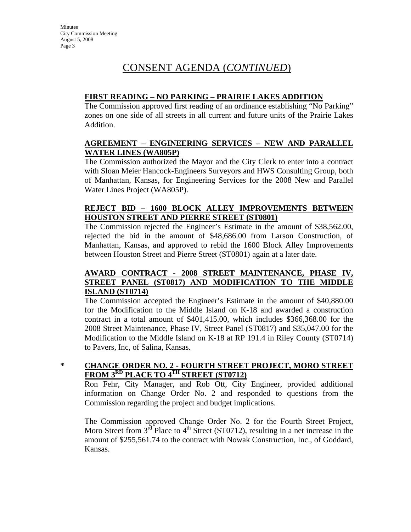# CONSENT AGENDA (*CONTINUED*)

### **FIRST READING – NO PARKING – PRAIRIE LAKES ADDITION**

The Commission approved first reading of an ordinance establishing "No Parking" zones on one side of all streets in all current and future units of the Prairie Lakes Addition.

### **AGREEMENT – ENGINEERING SERVICES – NEW AND PARALLEL WATER LINES (WA805P)**

The Commission authorized the Mayor and the City Clerk to enter into a contract with Sloan Meier Hancock-Engineers Surveyors and HWS Consulting Group, both of Manhattan, Kansas, for Engineering Services for the 2008 New and Parallel Water Lines Project (WA805P).

### **REJECT BID – 1600 BLOCK ALLEY IMPROVEMENTS BETWEEN HOUSTON STREET AND PIERRE STREET (ST0801)**

The Commission rejected the Engineer's Estimate in the amount of \$38,562.00, rejected the bid in the amount of \$48,686.00 from Larson Construction, of Manhattan, Kansas, and approved to rebid the 1600 Block Alley Improvements between Houston Street and Pierre Street (ST0801) again at a later date.

### **AWARD CONTRACT - 2008 STREET MAINTENANCE, PHASE IV, STREET PANEL (ST0817) AND MODIFICATION TO THE MIDDLE ISLAND (ST0714)**

The Commission accepted the Engineer's Estimate in the amount of \$40,880.00 for the Modification to the Middle Island on K-18 and awarded a construction contract in a total amount of \$401,415.00, which includes \$366,368.00 for the 2008 Street Maintenance, Phase IV, Street Panel (ST0817) and \$35,047.00 for the Modification to the Middle Island on K-18 at RP 191.4 in Riley County (ST0714) to Pavers, Inc, of Salina, Kansas.

### **\* CHANGE ORDER NO. 2 - FOURTH STREET PROJECT, MORO STREET FROM 3RD PLACE TO 4TH STREET (ST0712)**

Ron Fehr, City Manager, and Rob Ott, City Engineer, provided additional information on Change Order No. 2 and responded to questions from the Commission regarding the project and budget implications.

The Commission approved Change Order No. 2 for the Fourth Street Project, Moro Street from  $3<sup>rd</sup>$  Place to  $4<sup>th</sup>$  Street (ST0712), resulting in a net increase in the amount of \$255,561.74 to the contract with Nowak Construction, Inc., of Goddard, Kansas.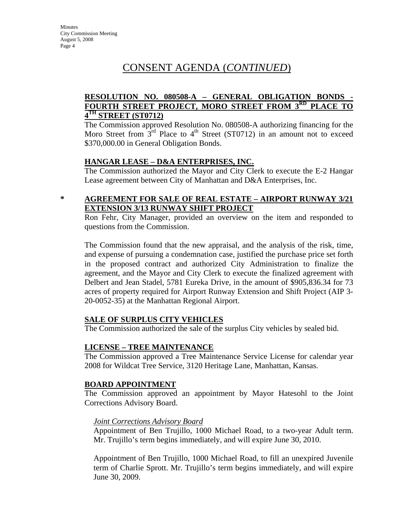# CONSENT AGENDA (*CONTINUED*)

### **RESOLUTION NO. 080508-A – GENERAL OBLIGATION BONDS - FOURTH STREET PROJECT, MORO STREET FROM 3RD PLACE TO 4TH STREET (ST0712)**

The Commission approved Resolution No. 080508-A authorizing financing for the Moro Street from  $3<sup>rd</sup>$  Place to  $4<sup>th</sup>$  Street (ST0712) in an amount not to exceed \$370,000.00 in General Obligation Bonds.

### **HANGAR LEASE – D&A ENTERPRISES, INC.**

The Commission authorized the Mayor and City Clerk to execute the E-2 Hangar Lease agreement between City of Manhattan and D&A Enterprises, Inc.

### **\* AGREEMENT FOR SALE OF REAL ESTATE – AIRPORT RUNWAY 3/21 EXTENSION 3/13 RUNWAY SHIFT PROJECT**

Ron Fehr, City Manager, provided an overview on the item and responded to questions from the Commission.

The Commission found that the new appraisal, and the analysis of the risk, time, and expense of pursuing a condemnation case, justified the purchase price set forth in the proposed contract and authorized City Administration to finalize the agreement, and the Mayor and City Clerk to execute the finalized agreement with Delbert and Jean Stadel, 5781 Eureka Drive, in the amount of \$905,836.34 for 73 acres of property required for Airport Runway Extension and Shift Project (AIP 3- 20-0052-35) at the Manhattan Regional Airport.

### **SALE OF SURPLUS CITY VEHICLES**

The Commission authorized the sale of the surplus City vehicles by sealed bid.

### **LICENSE – TREE MAINTENANCE**

The Commission approved a Tree Maintenance Service License for calendar year 2008 for Wildcat Tree Service, 3120 Heritage Lane, Manhattan, Kansas.

### **BOARD APPOINTMENT**

The Commission approved an appointment by Mayor Hatesohl to the Joint Corrections Advisory Board.

### *Joint Corrections Advisory Board*

Appointment of Ben Trujillo, 1000 Michael Road, to a two-year Adult term. Mr. Trujillo's term begins immediately, and will expire June 30, 2010.

Appointment of Ben Trujillo, 1000 Michael Road, to fill an unexpired Juvenile term of Charlie Sprott. Mr. Trujillo's term begins immediately, and will expire June 30, 2009.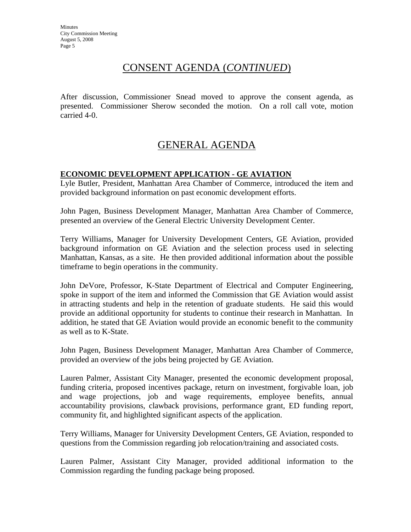### CONSENT AGENDA (*CONTINUED*)

After discussion, Commissioner Snead moved to approve the consent agenda, as presented. Commissioner Sherow seconded the motion. On a roll call vote, motion carried 4-0.

### GENERAL AGENDA

### **ECONOMIC DEVELOPMENT APPLICATION - GE AVIATION**

Lyle Butler, President, Manhattan Area Chamber of Commerce, introduced the item and provided background information on past economic development efforts.

John Pagen, Business Development Manager, Manhattan Area Chamber of Commerce, presented an overview of the General Electric University Development Center.

Terry Williams, Manager for University Development Centers, GE Aviation, provided background information on GE Aviation and the selection process used in selecting Manhattan, Kansas, as a site. He then provided additional information about the possible timeframe to begin operations in the community.

John DeVore, Professor, K-State Department of Electrical and Computer Engineering, spoke in support of the item and informed the Commission that GE Aviation would assist in attracting students and help in the retention of graduate students. He said this would provide an additional opportunity for students to continue their research in Manhattan. In addition, he stated that GE Aviation would provide an economic benefit to the community as well as to K-State.

John Pagen, Business Development Manager, Manhattan Area Chamber of Commerce, provided an overview of the jobs being projected by GE Aviation.

Lauren Palmer, Assistant City Manager, presented the economic development proposal, funding criteria, proposed incentives package, return on investment, forgivable loan, job and wage projections, job and wage requirements, employee benefits, annual accountability provisions, clawback provisions, performance grant, ED funding report, community fit, and highlighted significant aspects of the application.

Terry Williams, Manager for University Development Centers, GE Aviation, responded to questions from the Commission regarding job relocation/training and associated costs.

Lauren Palmer, Assistant City Manager, provided additional information to the Commission regarding the funding package being proposed.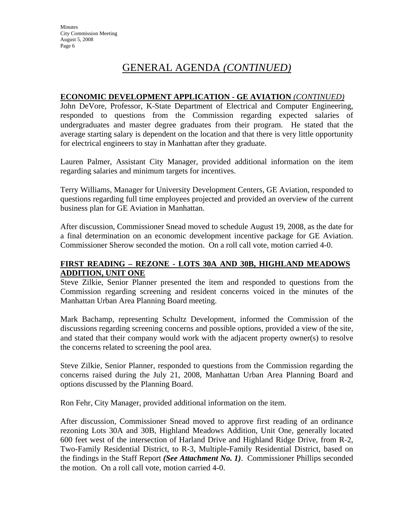# GENERAL AGENDA *(CONTINUED)*

#### **ECONOMIC DEVELOPMENT APPLICATION - GE AVIATION** *(CONTINUED)*

John DeVore, Professor, K-State Department of Electrical and Computer Engineering, responded to questions from the Commission regarding expected salaries of undergraduates and master degree graduates from their program. He stated that the average starting salary is dependent on the location and that there is very little opportunity for electrical engineers to stay in Manhattan after they graduate.

Lauren Palmer, Assistant City Manager, provided additional information on the item regarding salaries and minimum targets for incentives.

Terry Williams, Manager for University Development Centers, GE Aviation, responded to questions regarding full time employees projected and provided an overview of the current business plan for GE Aviation in Manhattan.

After discussion, Commissioner Snead moved to schedule August 19, 2008, as the date for a final determination on an economic development incentive package for GE Aviation. Commissioner Sherow seconded the motion. On a roll call vote, motion carried 4-0.

### **FIRST READING – REZONE - LOTS 30A AND 30B, HIGHLAND MEADOWS ADDITION, UNIT ONE**

Steve Zilkie, Senior Planner presented the item and responded to questions from the Commission regarding screening and resident concerns voiced in the minutes of the Manhattan Urban Area Planning Board meeting.

Mark Bachamp, representing Schultz Development, informed the Commission of the discussions regarding screening concerns and possible options, provided a view of the site, and stated that their company would work with the adjacent property owner(s) to resolve the concerns related to screening the pool area.

Steve Zilkie, Senior Planner, responded to questions from the Commission regarding the concerns raised during the July 21, 2008, Manhattan Urban Area Planning Board and options discussed by the Planning Board.

Ron Fehr, City Manager, provided additional information on the item.

After discussion, Commissioner Snead moved to approve first reading of an ordinance rezoning Lots 30A and 30B, Highland Meadows Addition, Unit One, generally located 600 feet west of the intersection of Harland Drive and Highland Ridge Drive, from R-2, Two-Family Residential District, to R-3, Multiple-Family Residential District, based on the findings in the Staff Report *(See Attachment No. 1)*. Commissioner Phillips seconded the motion. On a roll call vote, motion carried 4-0.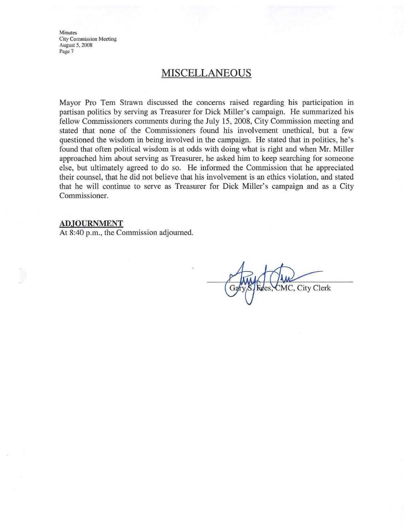**Minutes City Commission Meeting** August 5, 2008 Page 7

### **MISCELLANEOUS**

Mayor Pro Tem Strawn discussed the concerns raised regarding his participation in partisan politics by serving as Treasurer for Dick Miller's campaign. He summarized his fellow Commissioners comments during the July 15, 2008, City Commission meeting and stated that none of the Commissioners found his involvement unethical, but a few questioned the wisdom in being involved in the campaign. He stated that in politics, he's found that often political wisdom is at odds with doing what is right and when Mr. Miller approached him about serving as Treasurer, he asked him to keep searching for someone else, but ultimately agreed to do so. He informed the Commission that he appreciated their counsel, that he did not believe that his involvement is an ethics violation, and stated that he will continue to serve as Treasurer for Dick Miller's campaign and as a City Commissioner.

#### **ADJOURNMENT**

At 8:40 p.m., the Commission adjourned.

MC, City Clerk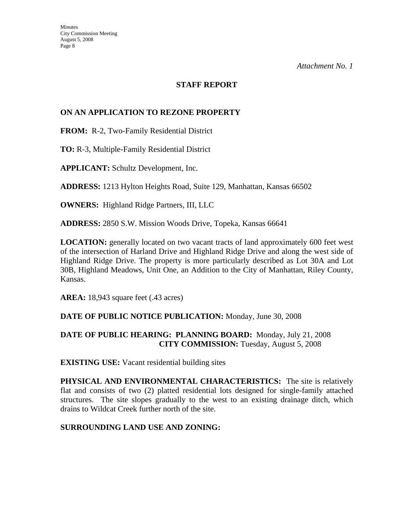*Attachment No. 1*

### **STAFF REPORT**

### **ON AN APPLICATION TO REZONE PROPERTY**

**FROM:** R-2, Two-Family Residential District

**TO:** R-3, Multiple-Family Residential District

**APPLICANT:** Schultz Development, Inc.

**ADDRESS:** 1213 Hylton Heights Road, Suite 129, Manhattan, Kansas 66502

**OWNERS:** Highland Ridge Partners, III, LLC

**ADDRESS:** 2850 S.W. Mission Woods Drive, Topeka, Kansas 66641

**LOCATION:** generally located on two vacant tracts of land approximately 600 feet west of the intersection of Harland Drive and Highland Ridge Drive and along the west side of Highland Ridge Drive. The property is more particularly described as Lot 30A and Lot 30B, Highland Meadows, Unit One, an Addition to the City of Manhattan, Riley County, Kansas.

**AREA:** 18,943 square feet (.43 acres)

#### **DATE OF PUBLIC NOTICE PUBLICATION:** Monday, June 30, 2008

### **DATE OF PUBLIC HEARING: PLANNING BOARD:** Monday, July 21, 2008 **CITY COMMISSION:** Tuesday, August 5, 2008

**EXISTING USE:** Vacant residential building sites

**PHYSICAL AND ENVIRONMENTAL CHARACTERISTICS:** The site is relatively flat and consists of two (2) platted residential lots designed for single-family attached structures. The site slopes gradually to the west to an existing drainage ditch, which drains to Wildcat Creek further north of the site.

#### **SURROUNDING LAND USE AND ZONING:**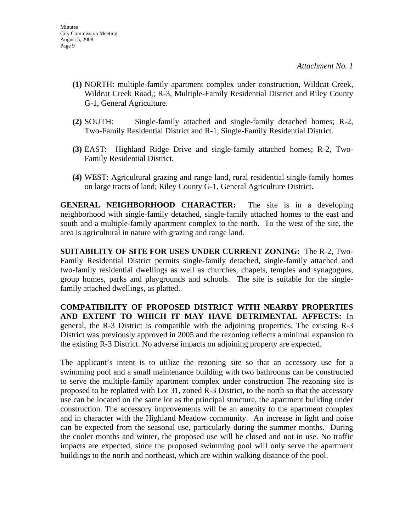- **(1)** NORTH: multiple-family apartment complex under construction, Wildcat Creek, Wildcat Creek Road,; R-3, Multiple-Family Residential District and Riley County G-1, General Agriculture.
- **(2)** SOUTH: Single-family attached and single-family detached homes; R-2, Two-Family Residential District and R-1, Single-Family Residential District.
- **(3)** EAST: Highland Ridge Drive and single-family attached homes; R-2, Two-Family Residential District.
- **(4)** WEST: Agricultural grazing and range land, rural residential single-family homes on large tracts of land; Riley County G-1, General Agriculture District.

**GENERAL NEIGHBORHOOD CHARACTER:** The site is in a developing neighborhood with single-family detached, single-family attached homes to the east and south and a multiple-family apartment complex to the north. To the west of the site, the area is agricultural in nature with grazing and range land.

**SUITABILITY OF SITE FOR USES UNDER CURRENT ZONING:** The R-2, Two-Family Residential District permits single-family detached, single-family attached and two-family residential dwellings as well as churches, chapels, temples and synagogues, group homes, parks and playgrounds and schools. The site is suitable for the singlefamily attached dwellings, as platted.

**COMPATIBILITY OF PROPOSED DISTRICT WITH NEARBY PROPERTIES AND EXTENT TO WHICH IT MAY HAVE DETRIMENTAL AFFECTS:** In general, the R-3 District is compatible with the adjoining properties. The existing R-3 District was previously approved in 2005 and the rezoning reflects a minimal expansion to the existing R-3 District. No adverse impacts on adjoining property are expected.

The applicant's intent is to utilize the rezoning site so that an accessory use for a swimming pool and a small maintenance building with two bathrooms can be constructed to serve the multiple-family apartment complex under construction The rezoning site is proposed to be replatted with Lot 31, zoned R-3 District, to the north so that the accessory use can be located on the same lot as the principal structure, the apartment building under construction. The accessory improvements will be an amenity to the apartment complex and in character with the Highland Meadow community. An increase in light and noise can be expected from the seasonal use, particularly during the summer months. During the cooler months and winter, the proposed use will be closed and not in use. No traffic impacts are expected, since the proposed swimming pool will only serve the apartment buildings to the north and northeast, which are within walking distance of the pool.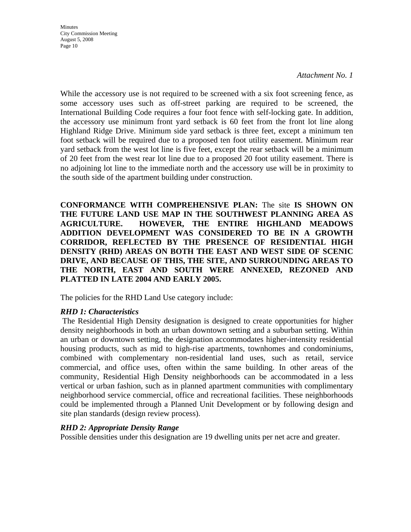Minutes City Commission Meeting August 5, 2008 Page 10

#### *Attachment No. 1*

While the accessory use is not required to be screened with a six foot screening fence, as some accessory uses such as off-street parking are required to be screened, the International Building Code requires a four foot fence with self-locking gate. In addition, the accessory use minimum front yard setback is 60 feet from the front lot line along Highland Ridge Drive. Minimum side yard setback is three feet, except a minimum ten foot setback will be required due to a proposed ten foot utility easement. Minimum rear yard setback from the west lot line is five feet, except the rear setback will be a minimum of 20 feet from the west rear lot line due to a proposed 20 foot utility easement. There is no adjoining lot line to the immediate north and the accessory use will be in proximity to the south side of the apartment building under construction.

**CONFORMANCE WITH COMPREHENSIVE PLAN:** The site **IS SHOWN ON THE FUTURE LAND USE MAP IN THE SOUTHWEST PLANNING AREA AS AGRICULTURE. HOWEVER, THE ENTIRE HIGHLAND MEADOWS ADDITION DEVELOPMENT WAS CONSIDERED TO BE IN A GROWTH CORRIDOR, REFLECTED BY THE PRESENCE OF RESIDENTIAL HIGH DENSITY (RHD) AREAS ON BOTH THE EAST AND WEST SIDE OF SCENIC DRIVE, AND BECAUSE OF THIS, THE SITE, AND SURROUNDING AREAS TO THE NORTH, EAST AND SOUTH WERE ANNEXED, REZONED AND PLATTED IN LATE 2004 AND EARLY 2005.** 

The policies for the RHD Land Use category include:

### *RHD 1: Characteristics*

 The Residential High Density designation is designed to create opportunities for higher density neighborhoods in both an urban downtown setting and a suburban setting. Within an urban or downtown setting, the designation accommodates higher-intensity residential housing products, such as mid to high-rise apartments, townhomes and condominiums, combined with complementary non-residential land uses, such as retail, service commercial, and office uses, often within the same building. In other areas of the community, Residential High Density neighborhoods can be accommodated in a less vertical or urban fashion, such as in planned apartment communities with complimentary neighborhood service commercial, office and recreational facilities. These neighborhoods could be implemented through a Planned Unit Development or by following design and site plan standards (design review process).

### *RHD 2: Appropriate Density Range*

Possible densities under this designation are 19 dwelling units per net acre and greater.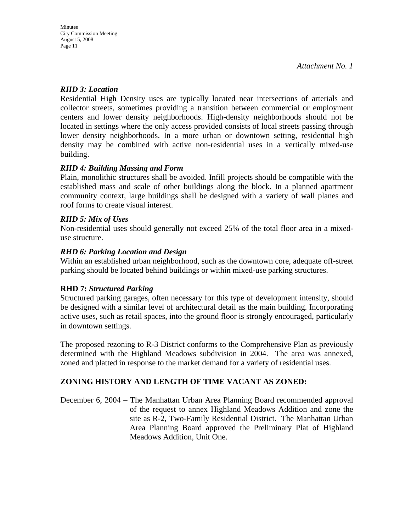### *RHD 3: Location*

Residential High Density uses are typically located near intersections of arterials and collector streets, sometimes providing a transition between commercial or employment centers and lower density neighborhoods. High-density neighborhoods should not be located in settings where the only access provided consists of local streets passing through lower density neighborhoods. In a more urban or downtown setting, residential high density may be combined with active non-residential uses in a vertically mixed-use building.

### *RHD 4: Building Massing and Form*

Plain, monolithic structures shall be avoided. Infill projects should be compatible with the established mass and scale of other buildings along the block. In a planned apartment community context, large buildings shall be designed with a variety of wall planes and roof forms to create visual interest.

### *RHD 5: Mix of Uses*

Non-residential uses should generally not exceed 25% of the total floor area in a mixeduse structure.

### *RHD 6: Parking Location and Design*

Within an established urban neighborhood, such as the downtown core, adequate off-street parking should be located behind buildings or within mixed-use parking structures.

### **RHD 7:** *Structured Parking*

Structured parking garages, often necessary for this type of development intensity, should be designed with a similar level of architectural detail as the main building. Incorporating active uses, such as retail spaces, into the ground floor is strongly encouraged, particularly in downtown settings.

The proposed rezoning to R-3 District conforms to the Comprehensive Plan as previously determined with the Highland Meadows subdivision in 2004. The area was annexed, zoned and platted in response to the market demand for a variety of residential uses.

### **ZONING HISTORY AND LENGTH OF TIME VACANT AS ZONED:**

December 6, 2004 – The Manhattan Urban Area Planning Board recommended approval of the request to annex Highland Meadows Addition and zone the site as R-2, Two-Family Residential District. The Manhattan Urban Area Planning Board approved the Preliminary Plat of Highland Meadows Addition, Unit One.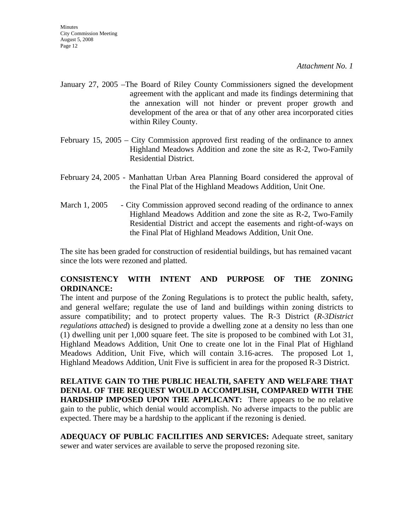*Attachment No. 1*

- January 27, 2005 –The Board of Riley County Commissioners signed the development agreement with the applicant and made its findings determining that the annexation will not hinder or prevent proper growth and development of the area or that of any other area incorporated cities within Riley County.
- February 15, 2005 City Commission approved first reading of the ordinance to annex Highland Meadows Addition and zone the site as R-2, Two-Family Residential District.
- February 24, 2005 Manhattan Urban Area Planning Board considered the approval of the Final Plat of the Highland Meadows Addition, Unit One.
- March 1, 2005 City Commission approved second reading of the ordinance to annex Highland Meadows Addition and zone the site as R-2, Two-Family Residential District and accept the easements and right-of-ways on the Final Plat of Highland Meadows Addition, Unit One.

The site has been graded for construction of residential buildings, but has remained vacant since the lots were rezoned and platted.

### **CONSISTENCY WITH INTENT AND PURPOSE OF THE ZONING ORDINANCE:**

The intent and purpose of the Zoning Regulations is to protect the public health, safety, and general welfare; regulate the use of land and buildings within zoning districts to assure compatibility; and to protect property values. The R-3 District (*R-3District regulations attached*) is designed to provide a dwelling zone at a density no less than one (1) dwelling unit per 1,000 square feet. The site is proposed to be combined with Lot 31, Highland Meadows Addition, Unit One to create one lot in the Final Plat of Highland Meadows Addition, Unit Five, which will contain 3.16-acres. The proposed Lot 1, Highland Meadows Addition, Unit Five is sufficient in area for the proposed R-3 District.

**RELATIVE GAIN TO THE PUBLIC HEALTH, SAFETY AND WELFARE THAT DENIAL OF THE REQUEST WOULD ACCOMPLISH, COMPARED WITH THE HARDSHIP IMPOSED UPON THE APPLICANT:** There appears to be no relative gain to the public, which denial would accomplish. No adverse impacts to the public are expected. There may be a hardship to the applicant if the rezoning is denied.

**ADEQUACY OF PUBLIC FACILITIES AND SERVICES:** Adequate street, sanitary sewer and water services are available to serve the proposed rezoning site.